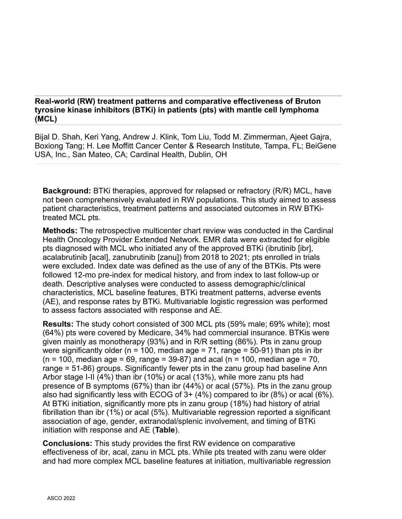## **Real-world (RW) treatment patterns and comparative effectiveness of Bruton tyrosine kinase inhibitors (BTKi) in patients (pts) with mantle cell lymphoma (MCL)**

Bijal D. Shah, Keri Yang, Andrew J. Klink, Tom Liu, Todd M. Zimmerman, Ajeet Gajra, Boxiong Tang; H. Lee Moffitt Cancer Center & Research Institute, Tampa, FL; BeiGene USA, Inc., San Mateo, CA; Cardinal Health, Dublin, OH

**Background:** BTKi therapies, approved for relapsed or refractory (R/R) MCL, have not been comprehensively evaluated in RW populations. This study aimed to assess patient characteristics, treatment patterns and associated outcomes in RW BTKitreated MCL pts.

**Methods:** The retrospective multicenter chart review was conducted in the Cardinal Health Oncology Provider Extended Network. EMR data were extracted for eligible pts diagnosed with MCL who initiated any of the approved BTKi (ibrutinib [ibr], acalabrutinib [acal], zanubrutinib [zanu]) from 2018 to 2021; pts enrolled in trials were excluded. Index date was defined as the use of any of the BTKis. Pts were followed 12-mo pre-index for medical history, and from index to last follow-up or death. Descriptive analyses were conducted to assess demographic/clinical characteristics, MCL baseline features, BTKi treatment patterns, adverse events (AE), and response rates by BTKi. Multivariable logistic regression was performed to assess factors associated with response and AE.

**Results:** The study cohort consisted of 300 MCL pts (59% male; 69% white); most (64%) pts were covered by Medicare, 34% had commercial insurance. BTKis were given mainly as monotherapy (93%) and in R/R setting (86%). Pts in zanu group were significantly older ( $n = 100$ , median age = 71, range = 50-91) than pts in ibr  $(n = 100, \text{ median age} = 69, \text{range} = 39-87)$  and acal  $(n = 100, \text{median age} = 70, \text{S} = 70)$ range = 51-86) groups. Significantly fewer pts in the zanu group had baseline Ann Arbor stage I-II (4%) than ibr (10%) or acal (13%), while more zanu pts had presence of B symptoms (67%) than ibr (44%) or acal (57%). Pts in the zanu group also had significantly less with ECOG of 3+ (4%) compared to ibr (8%) or acal (6%). At BTKi initiation, significantly more pts in zanu group (18%) had history of atrial fibrillation than ibr (1%) or acal (5%). Multivariable regression reported a significant association of age, gender, extranodal/splenic involvement, and timing of BTKi initiation with response and AE (**Table**).

**Conclusions:** This study provides the first RW evidence on comparative effectiveness of ibr, acal, zanu in MCL pts. While pts treated with zanu were older and had more complex MCL baseline features at initiation, multivariable regression